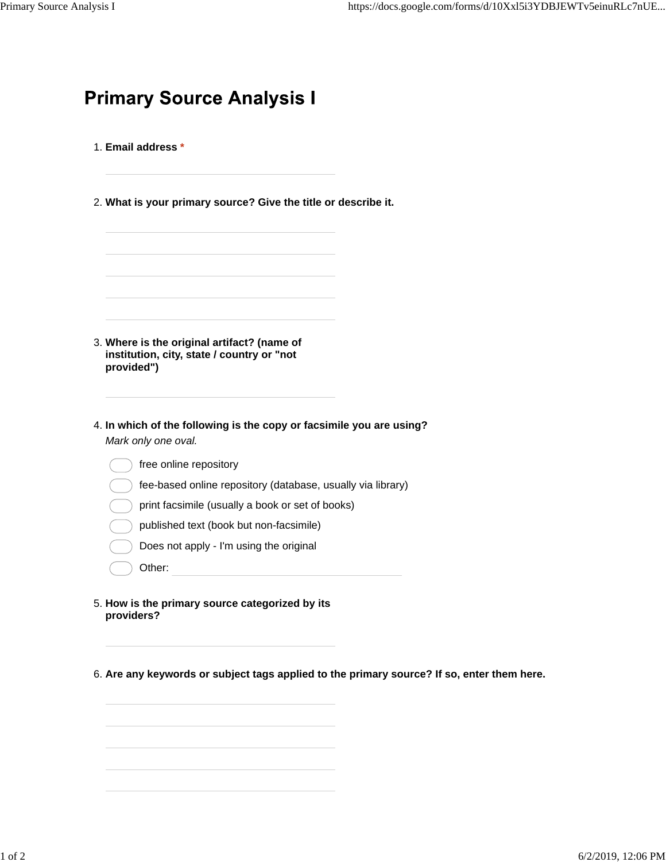|  | <b>Primary Source Analysis I</b> |  |
|--|----------------------------------|--|
|  |                                  |  |

- 1. **Email address \***
- 2. **What is your primary source? Give the title or describe it.**

| Where is the original artifact? (name of |  |  |  |  |  |  |
|------------------------------------------|--|--|--|--|--|--|

- **institution, city, state / country or "not provided")** 3.
- **In which of the following is the copy or facsimile you are using?** 4. *Mark only one oval.*
	- free online repository
	- fee-based online repository (database, usually via library)
	- print facsimile (usually a book or set of books)
	- published text (book but non-facsimile)
	- Does not apply I'm using the original
	- Other:
- **How is the primary source categorized by its** 5. **providers?**

6. **Are any keywords or subject tags applied to the primary source? If so, enter them here.**